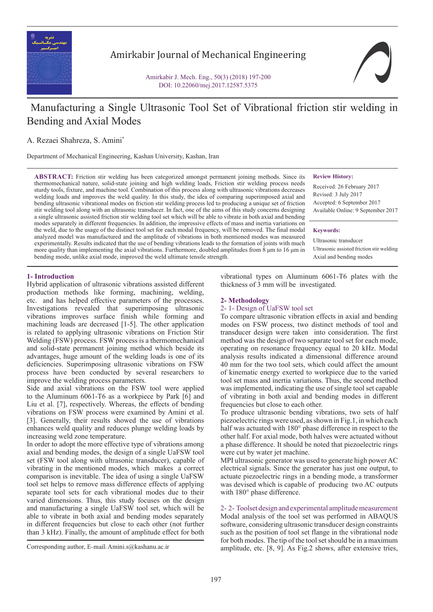

Amirkabir Journal of Mechanical Engineering

Amirkabir J. Mech. Eng., 50(3) (2018) 197-200 DOI: 10.22060/mej.2017.12587.5375

# Manufacturing a Single Ultrasonic Tool Set of Vibrational friction stir welding in Bending and Axial Modes

A. Rezaei Shahreza, S. Amini\*

Department of Mechanical Engineering, Kashan University, Kashan, Iran

**ABSTRACT:** Friction stir welding has been categorized amongst permanent joining methods. Since its thermomechanical nature, solid-state joining and high welding loads, Friction stir welding process needs sturdy tools, fixture, and machine tool. Combination of this process along with ultrasonic vibrations decreases welding loads and improves the weld quality. In this study, the idea of comparing superimposed axial and bending ultrasonic vibrational modes on friction stir welding process led to producing a unique set of friction stir welding tool along with an ultrasonic transducer. In fact, one of the aims of this study concerns designing a single ultrasonic assisted friction stir welding tool set which will be able to vibrate in both axial and bending modes separately in different frequencies. In addition, the impressive effects of mass and inertia variations on the weld, due to the usage of the distinct tool set for each modal frequency, will be removed. The final modal analyzed model was manufactured and the amplitude of vibrations in both mentioned modes was measured experimentally. Results indicated that the use of bending vibrations leads to the formation of joints with much more quality than implementing the axial vibrations. Furthermore, doubled amplitudes from 8 μm to 16 μm in bending mode, unlike axial mode, improved the weld ultimate tensile strength.

#### **Review History:**

Received: 26 February 2017 Revised: 3 July 2017 Accepted: 6 September 2017 Available Online: 9 September 2017

#### **Keywords:**

Ultrasonic transducer Ultrasonic assisted friction stir welding Axial and bending modes

#### **1- Introduction**

Hybrid application of ultrasonic vibrations assisted different production methods like forming, machining, welding, etc. and has helped effective parameters of the processes. Investigations revealed that superimposing ultrasonic vibrations improves surface finish while forming and machining loads are decreased [1-5]. The other application is related to applying ultrasonic vibrations on Friction Stir Welding (FSW) process. FSW process is a thermomechanical and solid-state permanent joining method which beside its advantages, huge amount of the welding loads is one of its deficiencies. Superimposing ultrasonic vibrations on FSW process have been conducted by several researchers to improve the welding process parameters.

Side and axial vibrations on the FSW tool were applied to the Aluminum 6061-T6 as a workpiece by Park [6] and Liu et al. [7], respectively. Whereas, the effects of bending vibrations on FSW process were examined by Amini et al. [3]. Generally, their results showed the use of vibrations enhances weld quality and reduces plunge welding loads by increasing weld zone temperature.

In order to adopt the more effective type of vibrations among axial and bending modes, the design of a single UaFSW tool set (FSW tool along with ultrasonic transducer), capable of vibrating in the mentioned modes, which makes a correct comparison is inevitable. The idea of using a single UaFSW tool set helps to remove mass difference effects of applying separate tool sets for each vibrational modes due to their varied dimensions. Thus, this study focuses on the design and manufacturing a single UaFSW tool set, which will be able to vibrate in both axial and bending modes separately in different frequencies but close to each other (not further than 3 kHz). Finally, the amount of amplitude effect for both

vibrational types on Aluminum 6061-T6 plates with the thickness of 3 mm will be investigated.

# **2- Methodology**

## 2- 1- Design of UaFSW tool set

To compare ultrasonic vibration effects in axial and bending modes on FSW process, two distinct methods of tool and transducer design were taken into consideration. The first method was the design of two separate tool set for each mode, operating on resonance frequency equal to 20 kHz. Modal analysis results indicated a dimensional difference around 40 mm for the two tool sets, which could affect the amount of kinematic energy exerted to workpiece due to the varied tool set mass and inertia variations. Thus, the second method was implemented, indicating the use of single tool set capable of vibrating in both axial and bending modes in different frequencies but close to each other.

To produce ultrasonic bending vibrations, two sets of half piezoelectric rings were used, as shown in Fig.1, in which each half was actuated with 180° phase difference in respect to the other half. For axial mode, both halves were actuated without a phase difference. It should be noted that piezoelectric rings were cut by water jet machine.

MPI ultrasonic generator was used to generate high power AC electrical signals. Since the generator has just one output, to actuate piezoelectric rings in a bending mode, a transformer was devised which is capable of producing two AC outputs with 180° phase difference.

2- 2- Toolset design and experimental amplitude measurement Modal analysis of the tool set was performed in ABAQUS software, considering ultrasonic transducer design constraints such as the position of tool set flange in the vibrational node for both modes. The tip of the tool set should be in a maximum Corresponding author, E-mail: Amini.s@kashanu.ac.ir -mail: -mail: Amplitude, etc. [8, 9]. As Fig.2 shows, after extensive tries,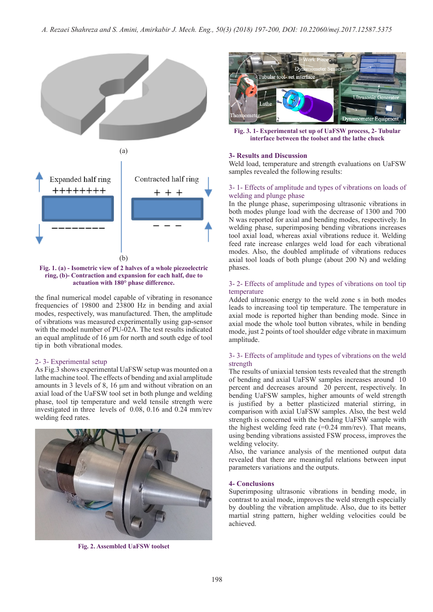

#### **Fig. 1. (a) - Isometric view of 2 halves of a whole piezoelectric ring, (b)- Contraction and expansion for each half, due to actuation with 180° phase difference.**

the final numerical model capable of vibrating in resonance frequencies of 19800 and 23800 Hz in bending and axial modes, respectively, was manufactured. Then, the amplitude of vibrations was measured experimentally using gap-sensor with the model number of PU-02A. The test results indicated an equal amplitude of 16 μm for north and south edge of tool tip in both vibrational modes.

### 2- 3- Experimental setup

As Fig.3 shows experimental UaFSW setup was mounted on a lathe machine tool. The effects of bending and axial amplitude amounts in 3 levels of 8, 16 μm and without vibration on an axial load of the UaFSW tool set in both plunge and welding phase, tool tip temperature and weld tensile strength were investigated in three levels of 0.08, 0.16 and 0.24 mm/rev welding feed rates.



**Fig. 2. Assembled UaFSW toolset**



**Fig. 3. 1- Experimental set up of UaFSW process, 2- Tubular interface between the toolset and the lathe chuck**

### **3- Results and Discussion**

Weld load, temperature and strength evaluations on UaFSW samples revealed the following results:

#### 3- 1- Effects of amplitude and types of vibrations on loads of welding and plunge phase

In the plunge phase, superimposing ultrasonic vibrations in both modes plunge load with the decrease of 1300 and 700 N was reported for axial and bending modes, respectively. In welding phase, superimposing bending vibrations increases tool axial load, whereas axial vibrations reduce it. Welding feed rate increase enlarges weld load for each vibrational modes. Also, the doubled amplitude of vibrations reduces axial tool loads of both plunge (about 200 N) and welding phases.

#### 3- 2- Effects of amplitude and types of vibrations on tool tip temperature

Added ultrasonic energy to the weld zone s in both modes leads to increasing tool tip temperature. The temperature in axial mode is reported higher than bending mode. Since in axial mode the whole tool button vibrates, while in bending mode, just 2 points of tool shoulder edge vibrate in maximum amplitude.

#### 3- 3- Effects of amplitude and types of vibrations on the weld strength

The results of uniaxial tension tests revealed that the strength of bending and axial UaFSW samples increases around 10 percent and decreases around 20 percent, respectively. In bending UaFSW samples, higher amounts of weld strength is justified by a better plasticized material stirring, in comparison with axial UaFSW samples. Also, the best weld strength is concerned with the bending UaFSW sample with the highest welding feed rate  $(=0.24 \text{ mm/rev})$ . That means, using bending vibrations assisted FSW process, improves the welding velocity.

Also, the variance analysis of the mentioned output data revealed that there are meaningful relations between input parameters variations and the outputs.

#### **4- Conclusions**

Superimposing ultrasonic vibrations in bending mode, in contrast to axial mode, improves the weld strength especially by doubling the vibration amplitude. Also, due to its better martial string pattern, higher welding velocities could be achieved.